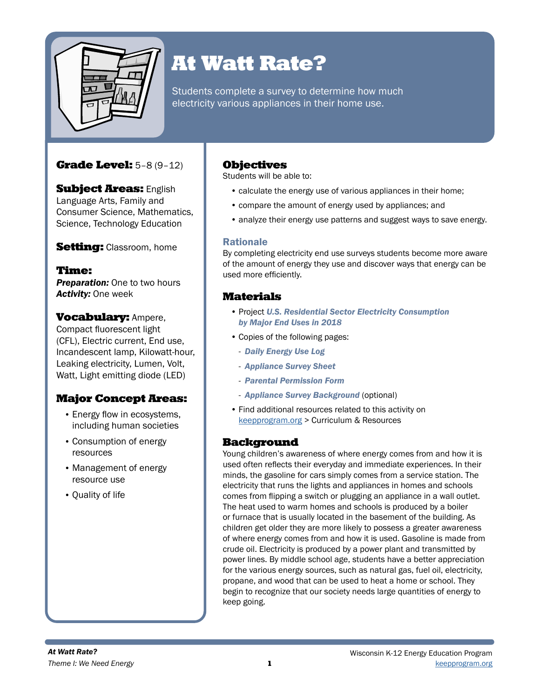

# At Watt Rate?

Students complete a survey to determine how much electricity various appliances in their home use.

## Grade Level: 5–8 (9–12)

**Subject Areas: English** Language Arts, Family and Consumer Science, Mathematics, Science, Technology Education

Setting: Classroom, home

### Time:

**Preparation:** One to two hours *Activity:* One week

### Vocabulary: Ampere,

Compact fluorescent light (CFL), Electric current, End use, Incandescent lamp, Kilowatt-hour, Leaking electricity, Lumen, Volt, Watt, Light emitting diode (LED)

## Major Concept Areas:

- Energy flow in ecosystems, including human societies
- Consumption of energy resources
- Management of energy resource use
- Quality of life

## **Objectives**

Students will be able to:

- calculate the energy use of various appliances in their home;
- compare the amount of energy used by appliances; and
- analyze their energy use patterns and suggest ways to save energy.

### Rationale

By completing electricity end use surveys students become more aware of the amount of energy they use and discover ways that energy can be used more efficiently.

## Materials

- Project *U.S. Residential Sector Electricity Consumption by Major End Uses in 2018*
- Copies of the following pages:
- *Daily Energy Use Log*
- *Appliance Survey Sheet*
- *Parental Permission Form*
- *Appliance Survey Background* (optional)
- Find additional resources related to this activity on [keepprogram.org](http://keepprogram.org) > Curriculum & Resources

### **Background**

Young children's awareness of where energy comes from and how it is used often reflects their everyday and immediate experiences. In their minds, the gasoline for cars simply comes from a service station. The electricity that runs the lights and appliances in homes and schools comes from flipping a switch or plugging an appliance in a wall outlet. The heat used to warm homes and schools is produced by a boiler or furnace that is usually located in the basement of the building. As children get older they are more likely to possess a greater awareness of where energy comes from and how it is used. Gasoline is made from crude oil. Electricity is produced by a power plant and transmitted by power lines. By middle school age, students have a better appreciation for the various energy sources, such as natural gas, fuel oil, electricity, propane, and wood that can be used to heat a home or school. They begin to recognize that our society needs large quantities of energy to keep going.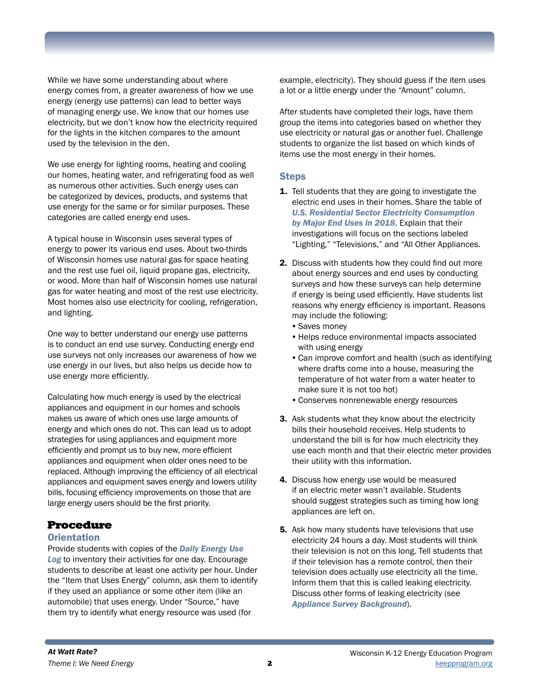While we have some understanding about where energy comes from, a greater awareness of how we use energy (energy use patterns) can lead to better ways of managing energy use. We know that our homes use electricity, but we don't know how the electricity required for the lights in the kitchen compares to the amount used by the television in the den.

We use energy for lighting rooms, heating and cooling our homes, heating water, and refrigerating food as well as numerous other activities. Such energy uses can be categorized by devices, products, and systems that use energy for the same or for similar purposes. These categories are called energy end uses.

A typical house in Wisconsin uses several types of energy to power its various end uses. About two-thirds of Wisconsin homes use natural gas for space heating and the rest use fuel oil, liquid propane gas, electricity, or wood. More than half of Wisconsin homes use natural gas for water heating and most of the rest use electricity. Most homes also use electricity for cooling, refrigeration, and lighting.

One way to better understand our energy use patterns is to conduct an end use survey. Conducting energy end use surveys not only increases our awareness of how we use energy in our lives, but also helps us decide how to use energy more efficiently.

Calculating how much energy is used by the electrical appliances and equipment in our homes and schools makes us aware of which ones use large amounts of energy and which ones do not. This can lead us to adopt strategies for using appliances and equipment more efficiently and prompt us to buy new, more efficient appliances and equipment when older ones need to be replaced. Although improving the efficiency of all electrical appliances and equipment saves energy and lowers utility bills, focusing efficiency improvements on those that are large energy users should be the first priority.

### Procedure

#### **Orientation**

Provide students with copies of the *Daily Energy Use Log* to inventory their activities for one day. Encourage students to describe at least one activity per hour. Under the "Item that Uses Energy" column, ask them to identify if they used an appliance or some other item (like an automobile) that uses energy. Under "Source," have them try to identify what energy resource was used (for

example, electricity). They should guess if the item uses a lot or a little energy under the "Amount" column.

After students have completed their logs, have them group the items into categories based on whether they use electricity or natural gas or another fuel. Challenge students to organize the list based on which kinds of items use the most energy in their homes.

#### **Steps**

- 1. Tell students that they are going to investigate the electric end uses in their homes. Share the table of *U.S. Residential Sector Electricity Consumption by Major End Uses in 2018*. Explain that their investigations will focus on the sections labeled "Lighting," "Televisions," and "All Other Appliances.
- 2. Discuss with students how they could find out more about energy sources and end uses by conducting surveys and how these surveys can help determine if energy is being used efficiently. Have students list reasons why energy efficiency is important. Reasons may include the following:
	- •Saves money
	- •Helps reduce environmental impacts associated with using energy
	- •Can improve comfort and health (such as identifying where drafts come into a house, measuring the temperature of hot water from a water heater to make sure it is not too hot)
	- •Conserves nonrenewable energy resources
- 3. Ask students what they know about the electricity bills their household receives. Help students to understand the bill is for how much electricity they use each month and that their electric meter provides their utility with this information.
- 4. Discuss how energy use would be measured if an electric meter wasn't available. Students should suggest strategies such as timing how long appliances are left on.
- **5.** Ask how many students have televisions that use electricity 24 hours a day. Most students will think their television is not on this long. Tell students that if their television has a remote control, then their television does actually use electricity all the time. Inform them that this is called leaking electricity. Discuss other forms of leaking electricity (see *Appliance Survey Background*).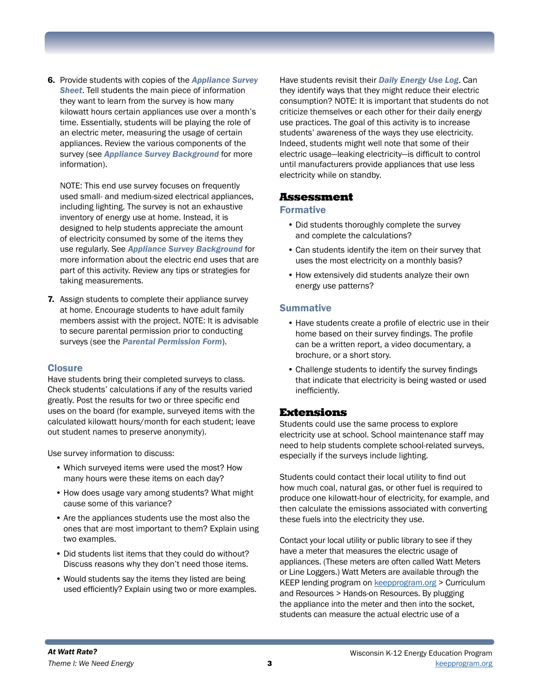6. Provide students with copies of the *Appliance Survey Sheet*. Tell students the main piece of information they want to learn from the survey is how many kilowatt hours certain appliances use over a month's time. Essentially, students will be playing the role of an electric meter, measuring the usage of certain appliances. Review the various components of the survey (see *Appliance Survey Background* for more information).

NOTE: This end use survey focuses on frequently used small- and medium-sized electrical appliances, including lighting. The survey is not an exhaustive inventory of energy use at home. Instead, it is designed to help students appreciate the amount of electricity consumed by some of the items they use regularly. See *Appliance Survey Background* for more information about the electric end uses that are part of this activity. Review any tips or strategies for taking measurements.

7. Assign students to complete their appliance survey at home. Encourage students to have adult family members assist with the project. NOTE: It is advisable to secure parental permission prior to conducting surveys (see the *Parental Permission Form*).

#### **Closure**

Have students bring their completed surveys to class. Check students' calculations if any of the results varied greatly. Post the results for two or three specific end uses on the board (for example, surveyed items with the calculated kilowatt hours/month for each student; leave out student names to preserve anonymity).

Use survey information to discuss:

- Which surveyed items were used the most? How many hours were these items on each day?
- How does usage vary among students? What might cause some of this variance?
- Are the appliances students use the most also the ones that are most important to them? Explain using two examples.
- Did students list items that they could do without? Discuss reasons why they don't need those items.
- Would students say the items they listed are being used efficiently? Explain using two or more examples.

Have students revisit their *Daily Energy Use Log*. Can they identify ways that they might reduce their electric consumption? NOTE: It is important that students do not criticize themselves or each other for their daily energy use practices. The goal of this activity is to increase students' awareness of the ways they use electricity. Indeed, students might well note that some of their electric usage—leaking electricity—is difficult to control until manufacturers provide appliances that use less electricity while on standby.

#### Assessment

#### Formative

- Did students thoroughly complete the survey and complete the calculations?
- Can students identify the item on their survey that uses the most electricity on a monthly basis?
- How extensively did students analyze their own energy use patterns?

#### **Summative**

- Have students create a profile of electric use in their home based on their survey findings. The profile can be a written report, a video documentary, a brochure, or a short story.
- Challenge students to identify the survey findings that indicate that electricity is being wasted or used inefficiently.

#### Extensions

Students could use the same process to explore electricity use at school. School maintenance staff may need to help students complete school-related surveys, especially if the surveys include lighting.

Students could contact their local utility to find out how much coal, natural gas, or other fuel is required to produce one kilowatt-hour of electricity, for example, and then calculate the emissions associated with converting these fuels into the electricity they use.

Contact your local utility or public library to see if they have a meter that measures the electric usage of appliances. (These meters are often called Watt Meters or Line Loggers.) Watt Meters are available through the KEEP lending program on [keepprogram.org](http://keepprogram.org) > Curriculum and Resources > Hands-on Resources. By plugging the appliance into the meter and then into the socket, students can measure the actual electric use of a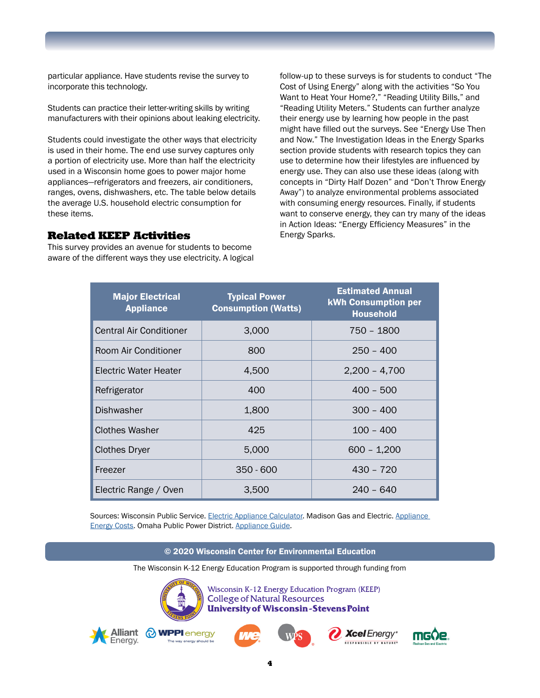particular appliance. Have students revise the survey to incorporate this technology.

Students can practice their letter-writing skills by writing manufacturers with their opinions about leaking electricity.

Students could investigate the other ways that electricity is used in their home. The end use survey captures only a portion of electricity use. More than half the electricity used in a Wisconsin home goes to power major home appliances—refrigerators and freezers, air conditioners, ranges, ovens, dishwashers, etc. The table below details the average U.S. household electric consumption for these items.

#### Related KEEP Activities

This survey provides an avenue for students to become aware of the different ways they use electricity. A logical

follow-up to these surveys is for students to conduct "The Cost of Using Energy" along with the activities "So You Want to Heat Your Home?," "Reading Utility Bills," and "Reading Utility Meters." Students can further analyze their energy use by learning how people in the past might have filled out the surveys. See "Energy Use Then and Now." The Investigation Ideas in the Energy Sparks section provide students with research topics they can use to determine how their lifestyles are influenced by energy use. They can also use these ideas (along with concepts in "Dirty Half Dozen" and "Don't Throw Energy Away") to analyze environmental problems associated with consuming energy resources. Finally, if students want to conserve energy, they can try many of the ideas in Action Ideas: "Energy Efficiency Measures" in the Energy Sparks.

| <b>Major Electrical</b><br><b>Appliance</b> | <b>Typical Power</b><br><b>Consumption (Watts)</b> | <b>Estimated Annual</b><br><b>kWh Consumption per</b><br><b>Household</b> |
|---------------------------------------------|----------------------------------------------------|---------------------------------------------------------------------------|
| <b>Central Air Conditioner</b>              | 3,000                                              | 750 - 1800                                                                |
| Room Air Conditioner                        | 800                                                | $250 - 400$                                                               |
| Electric Water Heater                       | 4,500                                              | $2,200 - 4,700$                                                           |
| Refrigerator                                | 400                                                | $400 - 500$                                                               |
| <b>Dishwasher</b>                           | 1,800                                              | $300 - 400$                                                               |
| <b>Clothes Washer</b>                       | 425                                                | $100 - 400$                                                               |
| <b>Clothes Dryer</b>                        | 5,000                                              | $600 - 1,200$                                                             |
| Freezer                                     | $350 - 600$                                        | 430 - 720                                                                 |
| Electric Range / Oven                       | 3,500                                              | $240 - 640$                                                               |

Sources: Wisconsin Public Service. [Electric Appliance Calculator](https://accel.wisconsinpublicservice.com/home/electric_calculator.aspx). Madison Gas and Electric. Appliance [Energy Costs](https://www.mge.com/saving-energy/for-homes/appliances). Omaha Public Power District. [Appliance Guide.](https://www.oppd.com/media/214903/appliance-usage-guide.pdf)

© 2020 Wisconsin Center for Environmental Education

The Wisconsin K-12 Energy Education Program is supported through funding from



Wisconsin K-12 Energy Education Program (KEEP) **College of Natural Resources University of Wisconsin-Stevens Point** 









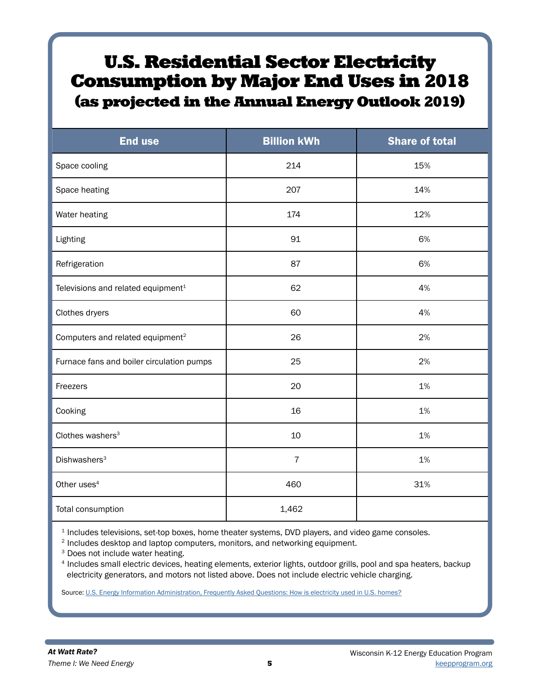## U.S. Residential Sector Electricity Consumption by Major End Uses in 2018 (as projected in the Annual Energy Outlook 2019)

| <b>End use</b>                                 | <b>Billion kWh</b> | <b>Share of total</b> |
|------------------------------------------------|--------------------|-----------------------|
| Space cooling                                  | 214                | 15%                   |
| Space heating                                  | 207                | 14%                   |
| Water heating                                  | 174                | 12%                   |
| Lighting                                       | 91                 | 6%                    |
| Refrigeration                                  | 87                 | 6%                    |
| Televisions and related equipment <sup>1</sup> | 62                 | 4%                    |
| Clothes dryers                                 | 60                 | 4%                    |
| Computers and related equipment <sup>2</sup>   | 26                 | 2%                    |
| Furnace fans and boiler circulation pumps      | 25                 | 2%                    |
| Freezers                                       | 20                 | 1%                    |
| Cooking                                        | 16                 | 1%                    |
| Clothes washers <sup>3</sup>                   | 10                 | 1%                    |
| Dishwashers <sup>3</sup>                       | $\overline{7}$     | 1%                    |
| Other uses <sup>4</sup>                        | 460                | 31%                   |
| Total consumption                              | 1,462              |                       |

<sup>1</sup> Includes televisions, set-top boxes, home theater systems, DVD players, and video game consoles.

<sup>2</sup> Includes desktop and laptop computers, monitors, and networking equipment.

<sup>3</sup> Does not include water heating.

<sup>4</sup> Includes small electric devices, heating elements, exterior lights, outdoor grills, pool and spa heaters, backup electricity generators, and motors not listed above. Does not include electric vehicle charging.

Source: [U.S. Energy Information Administration, Frequently Asked Questions: How is electricity used in U.S. homes?](https://www.eia.gov/tools/faqs/faq.php?id=96&t=3)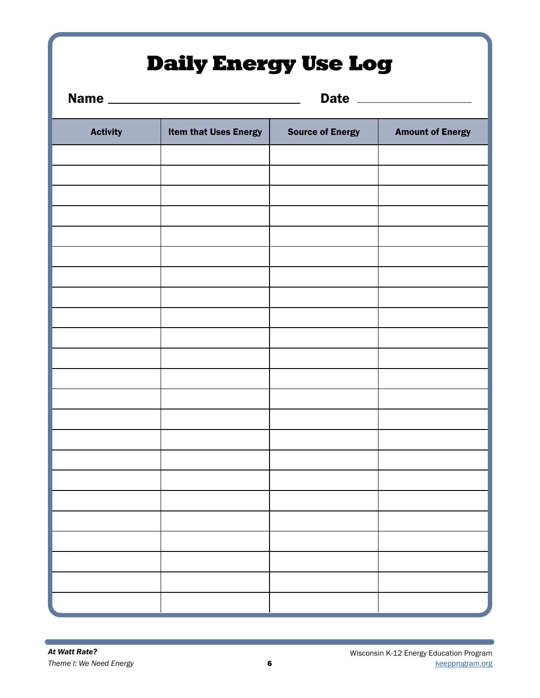## Daily Energy Use Log

|                 |                              |                         | Date _______________    |
|-----------------|------------------------------|-------------------------|-------------------------|
| <b>Activity</b> | <b>Item that Uses Energy</b> | <b>Source of Energy</b> | <b>Amount of Energy</b> |
|                 |                              |                         |                         |
|                 |                              |                         |                         |
|                 |                              |                         |                         |
|                 |                              |                         |                         |
|                 |                              |                         |                         |
|                 |                              |                         |                         |
|                 |                              |                         |                         |
|                 |                              |                         |                         |
|                 |                              |                         |                         |
|                 |                              |                         |                         |
|                 |                              |                         |                         |
|                 |                              |                         |                         |
|                 |                              |                         |                         |
|                 |                              |                         |                         |
|                 |                              |                         |                         |
|                 |                              |                         |                         |
|                 |                              |                         |                         |
|                 |                              |                         |                         |
|                 |                              |                         |                         |
|                 |                              |                         |                         |
|                 |                              |                         |                         |
|                 |                              |                         |                         |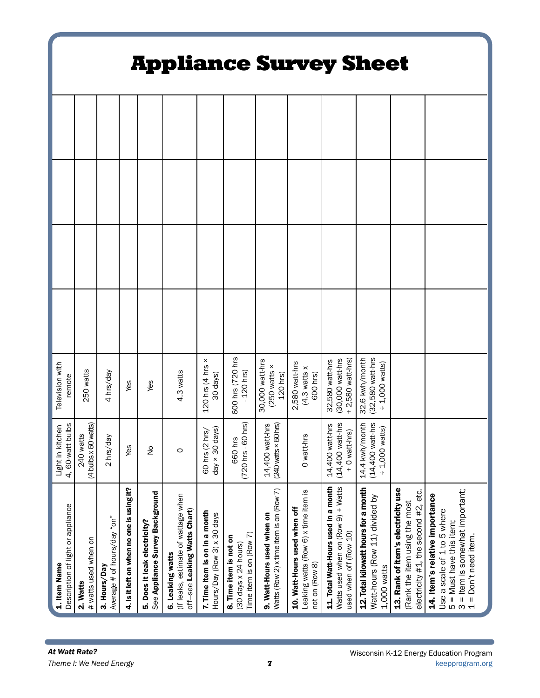| <b>Appliance Survey Sheet</b>                            |                                   |                                             |                                           |                                                                 |                                                                                         |                                                              |                                                                           |                                                                       |                                                                                        |                                                                                                      |                                                                                       |                                                                                                            |                                                                                                                                                                                                        |
|----------------------------------------------------------|-----------------------------------|---------------------------------------------|-------------------------------------------|-----------------------------------------------------------------|-----------------------------------------------------------------------------------------|--------------------------------------------------------------|---------------------------------------------------------------------------|-----------------------------------------------------------------------|----------------------------------------------------------------------------------------|------------------------------------------------------------------------------------------------------|---------------------------------------------------------------------------------------|------------------------------------------------------------------------------------------------------------|--------------------------------------------------------------------------------------------------------------------------------------------------------------------------------------------------------|
|                                                          |                                   |                                             |                                           |                                                                 |                                                                                         |                                                              |                                                                           |                                                                       |                                                                                        |                                                                                                      |                                                                                       |                                                                                                            |                                                                                                                                                                                                        |
|                                                          |                                   |                                             |                                           |                                                                 |                                                                                         |                                                              |                                                                           |                                                                       |                                                                                        |                                                                                                      |                                                                                       |                                                                                                            |                                                                                                                                                                                                        |
|                                                          |                                   |                                             |                                           |                                                                 |                                                                                         |                                                              |                                                                           |                                                                       |                                                                                        |                                                                                                      |                                                                                       |                                                                                                            |                                                                                                                                                                                                        |
|                                                          |                                   |                                             |                                           |                                                                 |                                                                                         |                                                              |                                                                           |                                                                       |                                                                                        |                                                                                                      |                                                                                       |                                                                                                            |                                                                                                                                                                                                        |
| Television with<br>remote                                | 250 watts                         | 4 hrs/day                                   | Yes                                       | Yes                                                             | 4.3 watts                                                                               | $120$ hrs (4 hrs $\times$<br>30 days)                        | 600 hrs (720 hrs<br>$-120$ hrs)                                           | 30,000 watt-hrs<br>$(250$ watts $\times$<br>120 hrs)                  | 2,580 watt-hrs<br>$(4.3$ watts $x$<br>600 hrs)                                         | (30,000 watt-hrs<br>2,580 watt-hrs)<br>32,580 watt-hrs                                               | 32.6 kwh/month<br>(32,580 watt-hrs<br>$-1,000$ watts)                                 |                                                                                                            |                                                                                                                                                                                                        |
| 4, 60-watt bulbs<br>Light in kitchen                     | (4 bulbs x 60 watts)<br>240 watts | 2 hrs/day                                   | Yes                                       | $\frac{1}{2}$                                                   | $\circ$                                                                                 | day $\times$ 30 days)<br>hrs/<br>60 hrs (2                   | 720 hrs - 60 hrs)<br>660 hrs                                              | 14,400 watt-hrs<br>(240 watts × 60 hrs)                               | O watt-hrs                                                                             | (14,400 watt-hrs<br>14,400 watt-hrs<br>+ 0 watt-hrs)                                                 | 14.4 kwh/month<br>(14,400 watt-hrs<br>$+1,000$ watts)                                 |                                                                                                            |                                                                                                                                                                                                        |
| Description of light or appliance<br>1. Item Name        | # watts used when on<br>2. Watts  | Average # of hours/day "on"<br>3. Hours/Day | 4. Is it left on when no one is using it? | See Appliance Survey Background<br>5. Does it leak electricity? | (If leaks, estimate of wattage when<br>off-see Leaking Watts Chart)<br>6. Leaking watts | 7. Time item is on in a month<br>Hours/Day (Row 3) x 30 days | Time item is on (Row 7)<br>8. Time item is not on<br>(30 days x 24 hours) | Watts (Row 2) x time item is on (Row 7)<br>9. Watt-Hours used when on | Leaking watts (Row 6) x time item is<br>10. Watt-Hours used when off<br>not on (Row 8) | 11. Total Watt-Hours used in a month<br>Watts used when on (Row 9) + Watts<br>used when off (Row 10) | 12. Total kilowatt hours for a month<br>Watt-hours (Row 11) divided by<br>1.000 watts | 13. Rank of item's electricity use<br>electricity #1, the second #2, etc.<br>(Rank the item using the most | = Item is somewhat important;<br>14. Item's relative importance<br>Use a scale of 1 to 5 where<br>= Must have this item;<br>Don't need item.<br>$\mathbf{I}\mathbf{I}$<br>LO<br>$\omega$ $\rightarrow$ |
| At Watt Rate?<br>Wisconsin K-12 Energy Education Program |                                   |                                             |                                           |                                                                 |                                                                                         |                                                              |                                                                           |                                                                       |                                                                                        |                                                                                                      |                                                                                       |                                                                                                            |                                                                                                                                                                                                        |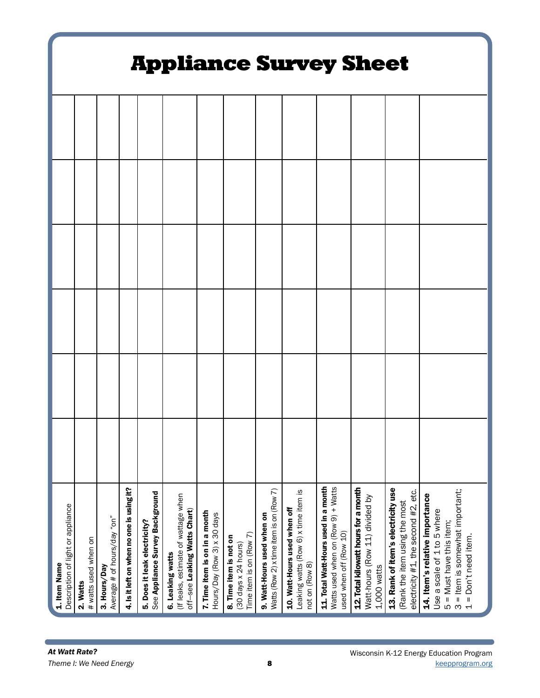|                                                          | <b>Appliance Survey Sheet</b>    |                                             |                                           |                                                                 |                                                                                         |                                                              |                                                                           |                                                                       |                                                                                        |                                                                                                      |                                                                                       |                                                                                                            |                                                                                                                                                          |
|----------------------------------------------------------|----------------------------------|---------------------------------------------|-------------------------------------------|-----------------------------------------------------------------|-----------------------------------------------------------------------------------------|--------------------------------------------------------------|---------------------------------------------------------------------------|-----------------------------------------------------------------------|----------------------------------------------------------------------------------------|------------------------------------------------------------------------------------------------------|---------------------------------------------------------------------------------------|------------------------------------------------------------------------------------------------------------|----------------------------------------------------------------------------------------------------------------------------------------------------------|
|                                                          |                                  |                                             |                                           |                                                                 |                                                                                         |                                                              |                                                                           |                                                                       |                                                                                        |                                                                                                      |                                                                                       |                                                                                                            |                                                                                                                                                          |
|                                                          |                                  |                                             |                                           |                                                                 |                                                                                         |                                                              |                                                                           |                                                                       |                                                                                        |                                                                                                      |                                                                                       |                                                                                                            |                                                                                                                                                          |
|                                                          |                                  |                                             |                                           |                                                                 |                                                                                         |                                                              |                                                                           |                                                                       |                                                                                        |                                                                                                      |                                                                                       |                                                                                                            |                                                                                                                                                          |
|                                                          |                                  |                                             |                                           |                                                                 |                                                                                         |                                                              |                                                                           |                                                                       |                                                                                        |                                                                                                      |                                                                                       |                                                                                                            |                                                                                                                                                          |
|                                                          |                                  |                                             |                                           |                                                                 |                                                                                         |                                                              |                                                                           |                                                                       |                                                                                        |                                                                                                      |                                                                                       |                                                                                                            |                                                                                                                                                          |
|                                                          |                                  |                                             |                                           |                                                                 |                                                                                         |                                                              |                                                                           |                                                                       |                                                                                        |                                                                                                      |                                                                                       |                                                                                                            |                                                                                                                                                          |
| Description of light or appliance<br>1. Item Name        | # watts used when on<br>2. Watts | Average # of hours/day "on"<br>3. Hours/Day | 4. Is it left on when no one is using it? | See Appliance Survey Background<br>5. Does it leak electricity? | (If leaks, estimate of wattage when<br>off-see Leaking Watts Chart)<br>6. Leaking watts | 7. Time item is on in a month<br>Hours/Day (Row 3) x 30 days | Time item is on (Row 7)<br>8. Time item is not on<br>(30 days x 24 hours) | Watts (Row 2) x time item is on (Row 7)<br>9. Watt-Hours used when on | Leaking watts (Row 6) x time item is<br>10. Watt-Hours used when off<br>not on (Row 8) | 11. Total Watt-Hours used in a month<br>Watts used when on (Row 9) + Watts<br>used when off (Row 10) | 12. Total kilowatt hours for a month<br>Watt-hours (Row 11) divided by<br>1,000 watts | 13. Rank of item's electricity use<br>electricity #1, the second #2, etc.<br>(Rank the item using the most | 3 = Item is somewhat important;<br>14. Item's relative importance<br>Use a scale of 1 to 5 where<br>$5 =$ Must have this item;<br>$1 = Don't need item.$ |
| At Watt Rate?<br>Wisconsin K-12 Energy Education Program |                                  |                                             |                                           |                                                                 |                                                                                         |                                                              |                                                                           |                                                                       |                                                                                        |                                                                                                      |                                                                                       |                                                                                                            |                                                                                                                                                          |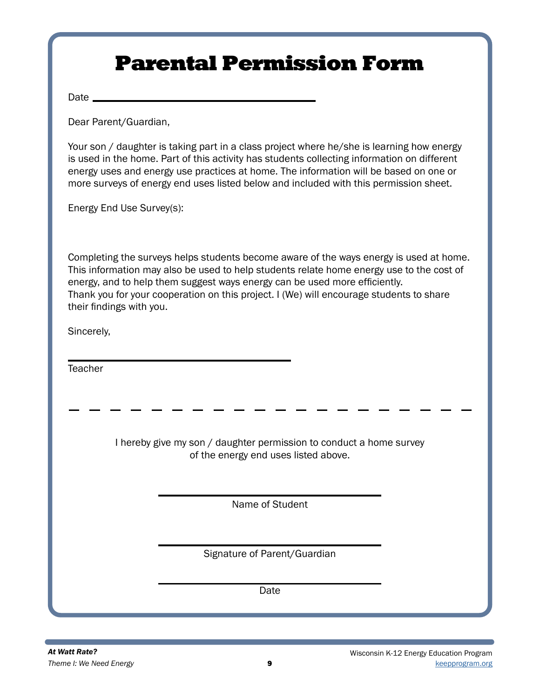## Parental Permission Form

Date \_\_\_\_\_

Dear Parent/Guardian,

Your son / daughter is taking part in a class project where he/she is learning how energy is used in the home. Part of this activity has students collecting information on different energy uses and energy use practices at home. The information will be based on one or more surveys of energy end uses listed below and included with this permission sheet.

Energy End Use Survey(s):

Completing the surveys helps students become aware of the ways energy is used at home. This information may also be used to help students relate home energy use to the cost of energy, and to help them suggest ways energy can be used more efficiently. Thank you for your cooperation on this project. I (We) will encourage students to share their findings with you.

Sincerely,

**Teacher** 

I hereby give my son / daughter permission to conduct a home survey of the energy end uses listed above.

Name of Student

Signature of Parent/Guardian

Date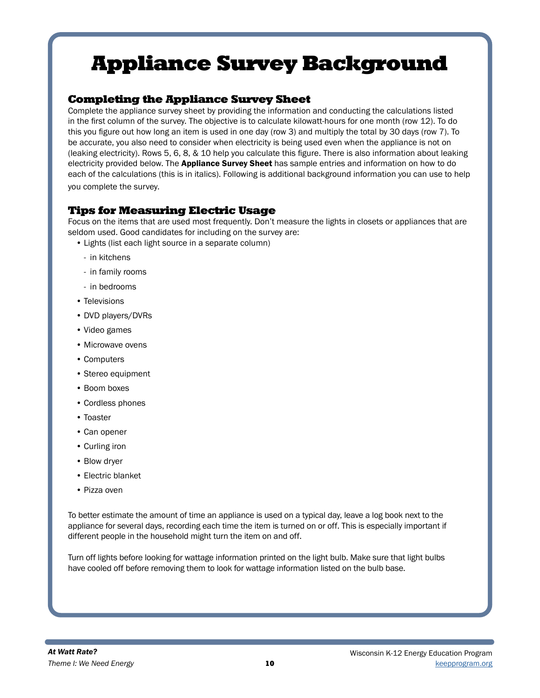### Completing the Appliance Survey Sheet

Complete the appliance survey sheet by providing the information and conducting the calculations listed in the first column of the survey. The objective is to calculate kilowatt-hours for one month (row 12). To do this you figure out how long an item is used in one day (row 3) and multiply the total by 30 days (row 7). To be accurate, you also need to consider when electricity is being used even when the appliance is not on (leaking electricity). Rows 5, 6, 8, & 10 help you calculate this figure. There is also information about leaking electricity provided below. The Appliance Survey Sheet has sample entries and information on how to do each of the calculations (this is in italics). Following is additional background information you can use to help you complete the survey.

## Tips for Measuring Electric Usage

Focus on the items that are used most frequently. Don't measure the lights in closets or appliances that are seldom used. Good candidates for including on the survey are:

- Lights (list each light source in a separate column)
	- in kitchens
	- in family rooms
	- in bedrooms
- Televisions
- DVD players/DVRs
- Video games
- Microwave ovens
- Computers
- Stereo equipment
- Boom boxes
- Cordless phones
- Toaster
- Can opener
- Curling iron
- Blow dryer
- Electric blanket
- Pizza oven

To better estimate the amount of time an appliance is used on a typical day, leave a log book next to the appliance for several days, recording each time the item is turned on or off. This is especially important if different people in the household might turn the item on and off.

Turn off lights before looking for wattage information printed on the light bulb. Make sure that light bulbs have cooled off before removing them to look for wattage information listed on the bulb base.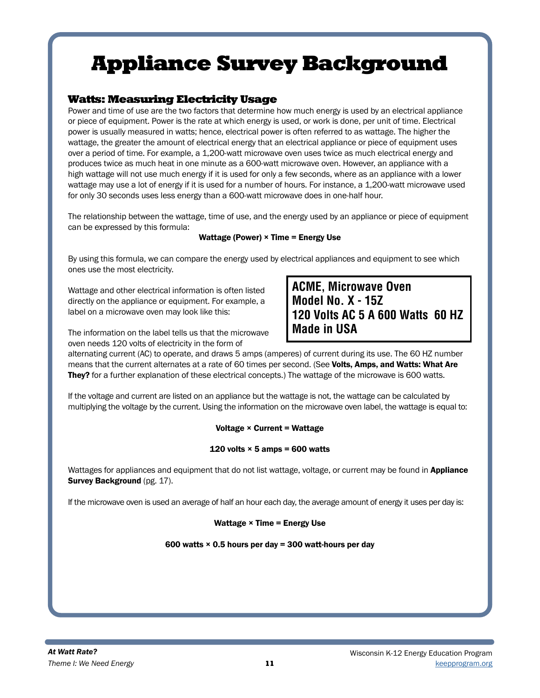### Watts: Measuring Electricity Usage

Power and time of use are the two factors that determine how much energy is used by an electrical appliance or piece of equipment. Power is the rate at which energy is used, or work is done, per unit of time. Electrical power is usually measured in watts; hence, electrical power is often referred to as wattage. The higher the wattage, the greater the amount of electrical energy that an electrical appliance or piece of equipment uses over a period of time. For example, a 1,200-watt microwave oven uses twice as much electrical energy and produces twice as much heat in one minute as a 600-watt microwave oven. However, an appliance with a high wattage will not use much energy if it is used for only a few seconds, where as an appliance with a lower wattage may use a lot of energy if it is used for a number of hours. For instance, a 1,200-watt microwave used for only 30 seconds uses less energy than a 600-watt microwave does in one-half hour.

The relationship between the wattage, time of use, and the energy used by an appliance or piece of equipment can be expressed by this formula:

#### Wattage (Power) × Time = Energy Use

By using this formula, we can compare the energy used by electrical appliances and equipment to see which ones use the most electricity.

Wattage and other electrical information is often listed directly on the appliance or equipment. For example, a label on a microwave oven may look like this:

**ACME' Microwave Oven Model No. X - 15Z 120 Volts AC 5 A 600 Watts 60 HZ Made in USA**

The information on the label tells us that the microwave oven needs 120 volts of electricity in the form of

alternating current (AC) to operate, and draws 5 amps (amperes) of current during its use. The 60 HZ number means that the current alternates at a rate of 60 times per second. (See Volts, Amps, and Watts: What Are They? for a further explanation of these electrical concepts.) The wattage of the microwave is 600 watts.

If the voltage and current are listed on an appliance but the wattage is not, the wattage can be calculated by multiplying the voltage by the current. Using the information on the microwave oven label, the wattage is equal to:

#### Voltage  $\times$  Current = Wattage

#### 120 volts  $\times$  5 amps = 600 watts

Wattages for appliances and equipment that do not list wattage, voltage, or current may be found in Appliance Survey Background (pg. 17).

If the microwave oven is used an average of half an hour each day, the average amount of energy it uses per day is:

#### Wattage × Time = Energy Use

#### 600 watts  $\times$  0.5 hours per day = 300 watt-hours per day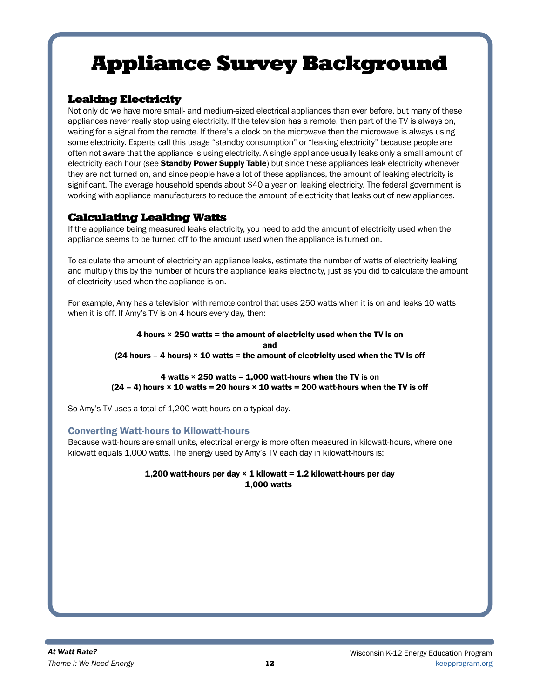## Leaking Electricity

Not only do we have more small- and medium-sized electrical appliances than ever before, but many of these appliances never really stop using electricity. If the television has a remote, then part of the TV is always on, waiting for a signal from the remote. If there's a clock on the microwave then the microwave is always using some electricity. Experts call this usage "standby consumption" or "leaking electricity" because people are often not aware that the appliance is using electricity. A single appliance usually leaks only a small amount of electricity each hour (see Standby Power Supply Table) but since these appliances leak electricity whenever they are not turned on, and since people have a lot of these appliances, the amount of leaking electricity is significant. The average household spends about \$40 a year on leaking electricity. The federal government is working with appliance manufacturers to reduce the amount of electricity that leaks out of new appliances.

## Calculating Leaking Watts

If the appliance being measured leaks electricity, you need to add the amount of electricity used when the appliance seems to be turned off to the amount used when the appliance is turned on.

To calculate the amount of electricity an appliance leaks, estimate the number of watts of electricity leaking and multiply this by the number of hours the appliance leaks electricity, just as you did to calculate the amount of electricity used when the appliance is on.

For example, Amy has a television with remote control that uses 250 watts when it is on and leaks 10 watts when it is off. If Amy's TV is on 4 hours every day, then:

> 4 hours  $\times$  250 watts = the amount of electricity used when the TV is on and  $(24$  hours – 4 hours)  $\times$  10 watts = the amount of electricity used when the TV is off

#### 4 watts  $\times$  250 watts = 1,000 watt-hours when the TV is on  $(24 - 4)$  hours  $\times$  10 watts = 20 hours  $\times$  10 watts = 200 watt-hours when the TV is off

So Amy's TV uses a total of 1,200 watt-hours on a typical day.

#### Converting Watt-hours to Kilowatt-hours

Because watt-hours are small units, electrical energy is more often measured in kilowatt-hours, where one kilowatt equals 1,000 watts. The energy used by Amy's TV each day in kilowatt-hours is:

#### 1,200 watt-hours per day  $\times$  1 kilowatt = 1.2 kilowatt-hours per day 1,000 watts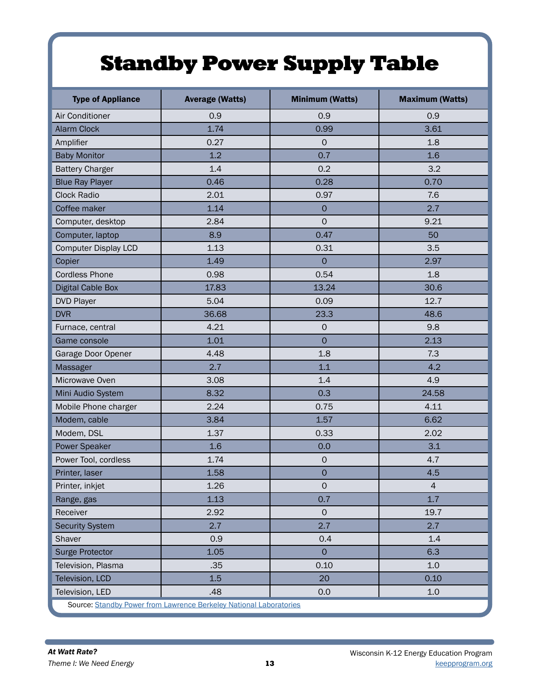## Standby Power Supply Table

| <b>Type of Appliance</b>                                           | <b>Average (Watts)</b> | <b>Minimum (Watts)</b> | <b>Maximum (Watts)</b> |  |  |  |  |
|--------------------------------------------------------------------|------------------------|------------------------|------------------------|--|--|--|--|
| Air Conditioner                                                    | 0.9                    | 0.9                    | 0.9                    |  |  |  |  |
| <b>Alarm Clock</b>                                                 | 1.74                   | 0.99                   | 3.61                   |  |  |  |  |
| Amplifier                                                          | 0.27                   | $\mathbf 0$            | 1.8                    |  |  |  |  |
| <b>Baby Monitor</b>                                                | 1.2                    | 0.7                    | 1.6                    |  |  |  |  |
| <b>Battery Charger</b>                                             | 1.4                    | 0.2                    | 3.2                    |  |  |  |  |
| <b>Blue Ray Player</b>                                             | 0.46                   | 0.28                   | 0.70                   |  |  |  |  |
| <b>Clock Radio</b>                                                 | 2.01                   | 0.97                   | 7.6                    |  |  |  |  |
| Coffee maker                                                       | 1.14                   | $\mathsf{O}\xspace$    | 2.7                    |  |  |  |  |
| Computer, desktop                                                  | 2.84                   | $\mathbf 0$            | 9.21                   |  |  |  |  |
| Computer, laptop                                                   | 8.9                    | 0.47                   | 50                     |  |  |  |  |
| <b>Computer Display LCD</b>                                        | 1.13                   | 0.31                   | 3.5                    |  |  |  |  |
| Copier                                                             | 1.49                   | $\overline{0}$         | 2.97                   |  |  |  |  |
| <b>Cordless Phone</b>                                              | 0.98                   | 0.54                   | 1.8                    |  |  |  |  |
| <b>Digital Cable Box</b>                                           | 17.83                  | 13.24                  | 30.6                   |  |  |  |  |
| <b>DVD Player</b>                                                  | 5.04                   | 0.09                   | 12.7                   |  |  |  |  |
| <b>DVR</b>                                                         | 36.68                  | 23.3                   | 48.6                   |  |  |  |  |
| Furnace, central                                                   | 4.21                   | $\mathsf{O}\xspace$    | 9.8                    |  |  |  |  |
| Game console                                                       | 1.01                   | $\mathbf 0$            | 2.13                   |  |  |  |  |
| Garage Door Opener                                                 | 4.48                   | 1.8                    | 7.3                    |  |  |  |  |
| Massager                                                           | 2.7                    | 1.1                    | 4.2                    |  |  |  |  |
| Microwave Oven                                                     | 3.08                   | 1.4                    | 4.9                    |  |  |  |  |
| Mini Audio System                                                  | 8.32                   | 0.3                    | 24.58                  |  |  |  |  |
| Mobile Phone charger                                               | 2.24                   | 0.75                   | 4.11                   |  |  |  |  |
| Modem, cable                                                       | 3.84                   | 1.57                   | 6.62                   |  |  |  |  |
| Modem, DSL                                                         | 1.37                   | 0.33                   | 2.02                   |  |  |  |  |
| Power Speaker                                                      | 1.6                    | 0.0                    | 3.1                    |  |  |  |  |
| Power Tool, cordless                                               | 1.74                   | $\mathsf{O}\xspace$    | 4.7                    |  |  |  |  |
| Printer, laser                                                     | 1.58                   | $\mathbf 0$            | 4.5                    |  |  |  |  |
| Printer, inkjet                                                    | 1.26                   | $\mathsf{O}$           | $\overline{4}$         |  |  |  |  |
| Range, gas                                                         | 1.13                   | 0.7                    | 1.7                    |  |  |  |  |
| Receiver                                                           | 2.92                   | $\circ$                | 19.7                   |  |  |  |  |
| <b>Security System</b>                                             | 2.7                    | 2.7                    | 2.7                    |  |  |  |  |
| Shaver                                                             | 0.9                    | 0.4                    | 1.4                    |  |  |  |  |
| <b>Surge Protector</b>                                             | 1.05                   | $\mathbf{O}$           | 6.3                    |  |  |  |  |
| Television, Plasma                                                 | .35                    | 0.10                   | 1.0                    |  |  |  |  |
| Television, LCD                                                    | 1.5                    | 20                     | 0.10                   |  |  |  |  |
| Television, LED                                                    | .48                    | 0.0                    | 1.0                    |  |  |  |  |
| Source: Standby Power from Lawrence Berkeley National Laboratories |                        |                        |                        |  |  |  |  |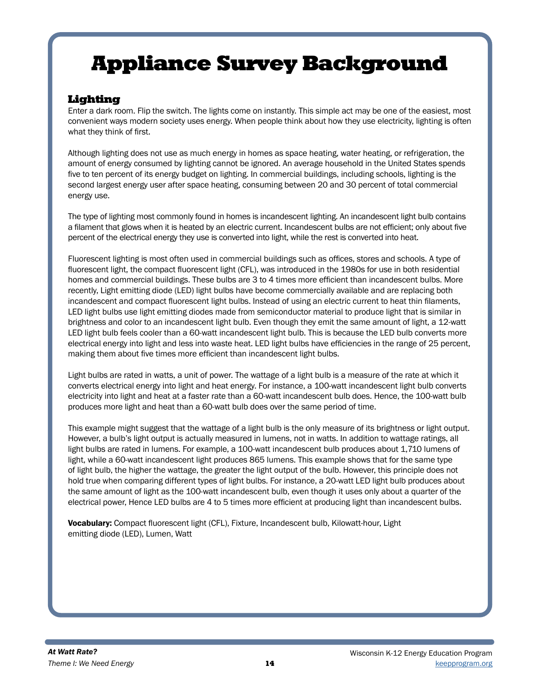## Lighting

Enter a dark room. Flip the switch. The lights come on instantly. This simple act may be one of the easiest, most convenient ways modern society uses energy. When people think about how they use electricity, lighting is often what they think of first.

Although lighting does not use as much energy in homes as space heating, water heating, or refrigeration, the amount of energy consumed by lighting cannot be ignored. An average household in the United States spends five to ten percent of its energy budget on lighting. In commercial buildings, including schools, lighting is the second largest energy user after space heating, consuming between 20 and 30 percent of total commercial energy use.

The type of lighting most commonly found in homes is incandescent lighting. An incandescent light bulb contains a filament that glows when it is heated by an electric current. Incandescent bulbs are not efficient; only about five percent of the electrical energy they use is converted into light, while the rest is converted into heat.

Fluorescent lighting is most often used in commercial buildings such as offices, stores and schools. A type of fluorescent light, the compact fluorescent light (CFL), was introduced in the 1980s for use in both residential homes and commercial buildings. These bulbs are 3 to 4 times more efficient than incandescent bulbs. More recently, Light emitting diode (LED) light bulbs have become commercially available and are replacing both incandescent and compact fluorescent light bulbs. Instead of using an electric current to heat thin filaments, LED light bulbs use light emitting diodes made from semiconductor material to produce light that is similar in brightness and color to an incandescent light bulb. Even though they emit the same amount of light, a 12-watt LED light bulb feels cooler than a 60-watt incandescent light bulb. This is because the LED bulb converts more electrical energy into light and less into waste heat. LED light bulbs have efficiencies in the range of 25 percent, making them about five times more efficient than incandescent light bulbs.

Light bulbs are rated in watts, a unit of power. The wattage of a light bulb is a measure of the rate at which it converts electrical energy into light and heat energy. For instance, a 100-watt incandescent light bulb converts electricity into light and heat at a faster rate than a 60-watt incandescent bulb does. Hence, the 100-watt bulb produces more light and heat than a 60-watt bulb does over the same period of time.

This example might suggest that the wattage of a light bulb is the only measure of its brightness or light output. However, a bulb's light output is actually measured in lumens, not in watts. In addition to wattage ratings, all light bulbs are rated in lumens. For example, a 100-watt incandescent bulb produces about 1,710 lumens of light, while a 60-watt incandescent light produces 865 lumens. This example shows that for the same type of light bulb, the higher the wattage, the greater the light output of the bulb. However, this principle does not hold true when comparing different types of light bulbs. For instance, a 20-watt LED light bulb produces about the same amount of light as the 100-watt incandescent bulb, even though it uses only about a quarter of the electrical power, Hence LED bulbs are 4 to 5 times more efficient at producing light than incandescent bulbs.

Vocabulary: Compact fluorescent light (CFL), Fixture, Incandescent bulb, Kilowatt-hour, Light emitting diode (LED), Lumen, Watt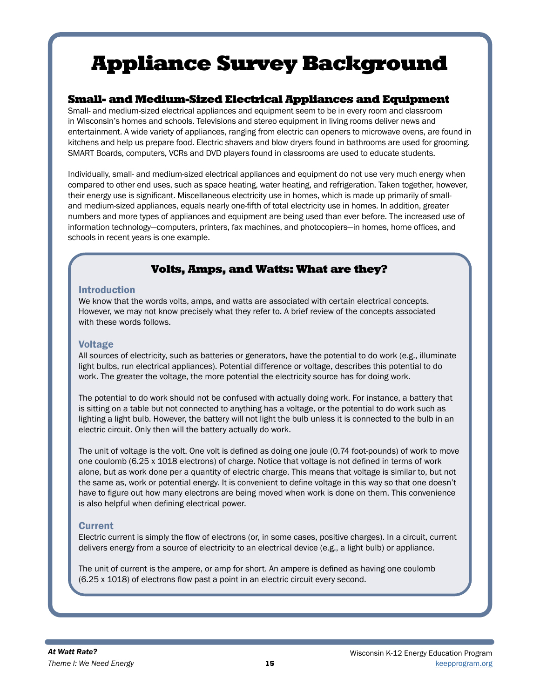### Small- and Medium-Sized Electrical Appliances and Equipment

Small- and medium-sized electrical appliances and equipment seem to be in every room and classroom in Wisconsin's homes and schools. Televisions and stereo equipment in living rooms deliver news and entertainment. A wide variety of appliances, ranging from electric can openers to microwave ovens, are found in kitchens and help us prepare food. Electric shavers and blow dryers found in bathrooms are used for grooming. SMART Boards, computers, VCRs and DVD players found in classrooms are used to educate students.

Individually, small- and medium-sized electrical appliances and equipment do not use very much energy when compared to other end uses, such as space heating, water heating, and refrigeration. Taken together, however, their energy use is significant. Miscellaneous electricity use in homes, which is made up primarily of smalland medium-sized appliances, equals nearly one-fifth of total electricity use in homes. In addition, greater numbers and more types of appliances and equipment are being used than ever before. The increased use of information technology—computers, printers, fax machines, and photocopiers—in homes, home offices, and schools in recent years is one example.

## Volts, Amps, and Watts: What are they?

#### Introduction

We know that the words volts, amps, and watts are associated with certain electrical concepts. However, we may not know precisely what they refer to. A brief review of the concepts associated with these words follows.

#### Voltage

All sources of electricity, such as batteries or generators, have the potential to do work (e.g., illuminate light bulbs, run electrical appliances). Potential difference or voltage, describes this potential to do work. The greater the voltage, the more potential the electricity source has for doing work.

The potential to do work should not be confused with actually doing work. For instance, a battery that is sitting on a table but not connected to anything has a voltage, or the potential to do work such as lighting a light bulb. However, the battery will not light the bulb unless it is connected to the bulb in an electric circuit. Only then will the battery actually do work.

The unit of voltage is the volt. One volt is defined as doing one joule (0.74 foot-pounds) of work to move one coulomb (6.25 x 1018 electrons) of charge. Notice that voltage is not defined in terms of work alone, but as work done per a quantity of electric charge. This means that voltage is similar to, but not the same as, work or potential energy. It is convenient to define voltage in this way so that one doesn't have to figure out how many electrons are being moved when work is done on them. This convenience is also helpful when defining electrical power.

#### **Current**

Electric current is simply the flow of electrons (or, in some cases, positive charges). In a circuit, current delivers energy from a source of electricity to an electrical device (e.g., a light bulb) or appliance.

The unit of current is the ampere, or amp for short. An ampere is defined as having one coulomb (6.25 x 1018) of electrons flow past a point in an electric circuit every second.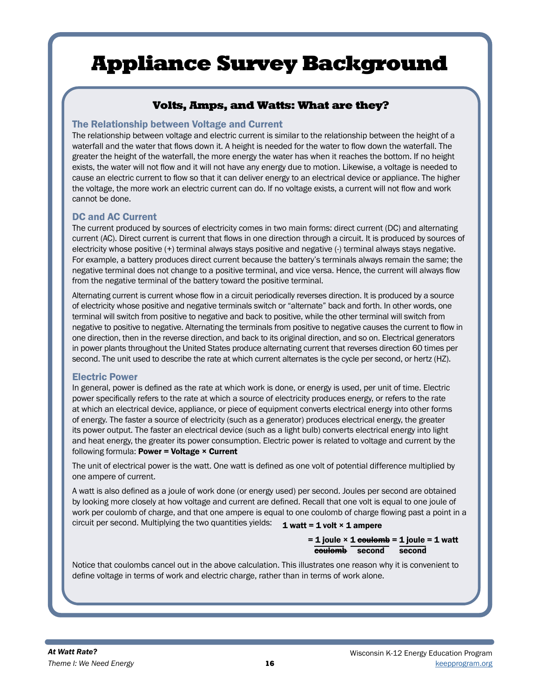## Volts, Amps, and Watts: What are they?

### The Relationship between Voltage and Current

The relationship between voltage and electric current is similar to the relationship between the height of a waterfall and the water that flows down it. A height is needed for the water to flow down the waterfall. The greater the height of the waterfall, the more energy the water has when it reaches the bottom. If no height exists, the water will not flow and it will not have any energy due to motion. Likewise, a voltage is needed to cause an electric current to flow so that it can deliver energy to an electrical device or appliance. The higher the voltage, the more work an electric current can do. If no voltage exists, a current will not flow and work cannot be done.

### DC and AC Current

The current produced by sources of electricity comes in two main forms: direct current (DC) and alternating current (AC). Direct current is current that flows in one direction through a circuit. It is produced by sources of electricity whose positive (+) terminal always stays positive and negative (-) terminal always stays negative. For example, a battery produces direct current because the battery's terminals always remain the same; the negative terminal does not change to a positive terminal, and vice versa. Hence, the current will always flow from the negative terminal of the battery toward the positive terminal.

Alternating current is current whose flow in a circuit periodically reverses direction. It is produced by a source of electricity whose positive and negative terminals switch or "alternate" back and forth. In other words, one terminal will switch from positive to negative and back to positive, while the other terminal will switch from negative to positive to negative. Alternating the terminals from positive to negative causes the current to flow in one direction, then in the reverse direction, and back to its original direction, and so on. Electrical generators in power plants throughout the United States produce alternating current that reverses direction 60 times per second. The unit used to describe the rate at which current alternates is the cycle per second, or hertz (HZ).

#### Electric Power

In general, power is defined as the rate at which work is done, or energy is used, per unit of time. Electric power specifically refers to the rate at which a source of electricity produces energy, or refers to the rate at which an electrical device, appliance, or piece of equipment converts electrical energy into other forms of energy. The faster a source of electricity (such as a generator) produces electrical energy, the greater its power output. The faster an electrical device (such as a light bulb) converts electrical energy into light and heat energy, the greater its power consumption. Electric power is related to voltage and current by the following formula: Power = Voltage  $\times$  Current

The unit of electrical power is the watt. One watt is defined as one volt of potential difference multiplied by one ampere of current.

A watt is also defined as a joule of work done (or energy used) per second. Joules per second are obtained by looking more closely at how voltage and current are defined. Recall that one volt is equal to one joule of work per coulomb of charge, and that one ampere is equal to one coulomb of charge flowing past a point in a circuit per second. Multiplying the two quantities yields:  $\quad$  1 watt = 1 volt × 1 ampere

> $= 1$  joule  $\times$  1 coulomb = 1 joule = 1 watt coulomb second second

Notice that coulombs cancel out in the above calculation. This illustrates one reason why it is convenient to define voltage in terms of work and electric charge, rather than in terms of work alone.